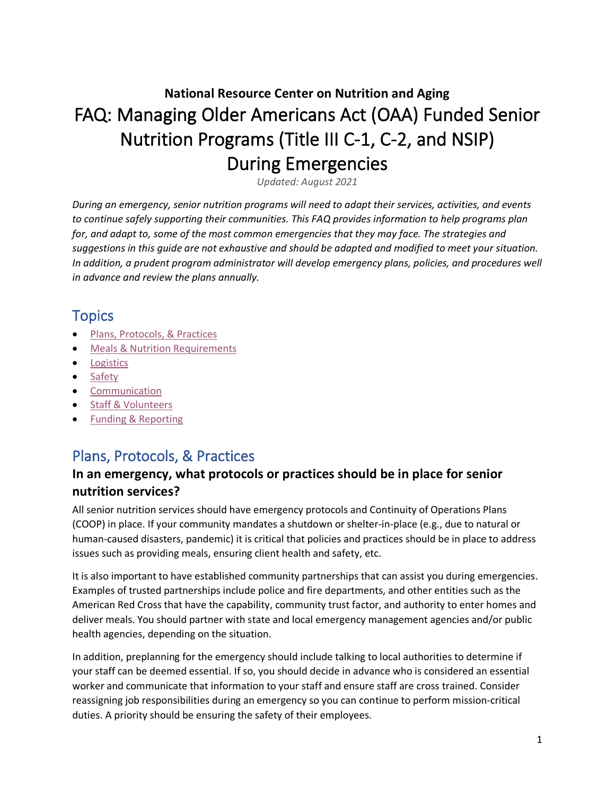# **National Resource Center on Nutrition and Aging** FAQ: Managing Older Americans Act (OAA) Funded Senior Nutrition Programs (Title III C-1, C-2, and NSIP) During Emergencies

*Updated: August 2021*

*During an emergency, senior nutrition programs will need to adapt their services, activities, and events to continue safely supporting their communities. This FAQ provides information to help programs plan for, and adapt to, some of the most common emergencies that they may face. The strategies and suggestions in this guide are not exhaustive and should be adapted and modified to meet your situation. In addition, a prudent program administrator will develop emergency plans, policies, and procedures well in advance and review the plans annually.*

# **Topics**

- [Plans, Protocols, & Practices](#page-0-0)
- [Meals & Nutrition Requirements](#page-1-0)
- [Logistics](#page-4-0)
- [Safety](#page-5-0)
- [Communication](#page-5-1)
- [Staff & Volunteers](#page-6-0)
- <span id="page-0-0"></span>• Funding [& Reporting](#page-6-1)

# Plans, Protocols, & Practices

### **In an emergency, what protocols or practices should be in place for senior nutrition services?**

All senior nutrition services should have emergency protocols and Continuity of Operations Plans (COOP) in place. If your community mandates a shutdown or shelter-in-place (e.g., due to natural or human-caused disasters, pandemic) it is critical that policies and practices should be in place to address issues such as providing meals, ensuring client health and safety, etc.

It is also important to have established community partnerships that can assist you during emergencies. Examples of trusted partnerships include police and fire departments, and other entities such as the American Red Cross that have the capability, community trust factor, and authority to enter homes and deliver meals. You should partner with state and local emergency management agencies and/or public health agencies, depending on the situation.

In addition, preplanning for the emergency should include talking to local authorities to determine if your staff can be deemed essential. If so, you should decide in advance who is considered an essential worker and communicate that information to your staff and ensure staff are cross trained. Consider reassigning job responsibilities during an emergency so you can continue to perform mission-critical duties. A priority should be ensuring the safety of their employees.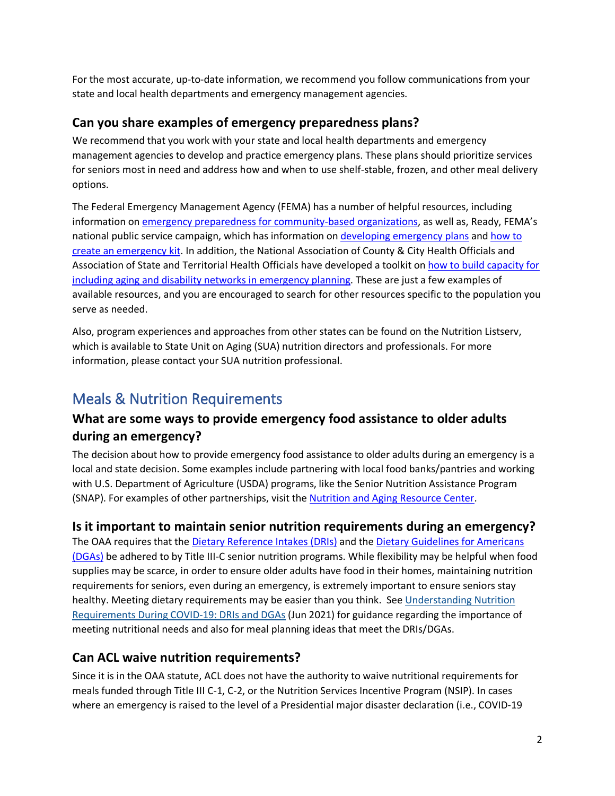For the most accurate, up-to-date information, we recommend you follow communications from your state and local health departments and emergency management agencies.

#### **Can you share examples of emergency preparedness plans?**

We recommend that you work with your state and local health departments and emergency management agencies to develop and practice emergency plans. These plans should prioritize services for seniors most in need and address how and when to use shelf-stable, frozen, and other meal delivery options.

The Federal Emergency Management Agency (FEMA) has a number of helpful resources, including information o[n emergency preparedness for community-based organizations,](https://community.fema.gov/opentraining) as well as, Ready, FEMA's national public service campaign, which has information on [developing emergency plans](https://www.ready.gov/business) and [how to](https://www.ready.gov/kit)  [create an emergency kit.](https://www.ready.gov/kit) In addition, the National Association of County & City Health Officials and Association of State and Territorial Health Officials have developed a toolkit on how to build capacity for [including aging and disability networks in emergency planning.](https://acl.gov/news-and-events/announcements/new-resource-available-emergency-planning-toolkit-aging-and-0) These are just a few examples of available resources, and you are encouraged to search for other resources specific to the population you serve as needed.

Also, program experiences and approaches from other states can be found on the Nutrition Listserv, which is available to State Unit on Aging (SUA) nutrition directors and professionals. For more information, please contact your SUA nutrition professional.

# <span id="page-1-0"></span>Meals & Nutrition Requirements

#### **What are some ways to provide emergency food assistance to older adults during an emergency?**

The decision about how to provide emergency food assistance to older adults during an emergency is a local and state decision. Some examples include partnering with local food banks/pantries and working with U.S. Department of Agriculture (USDA) programs, like the Senior Nutrition Assistance Program (SNAP). For examples of other partnerships, visit the [Nutrition and Aging Resource Center.](https://acl.gov/senior-nutrition)

### **Is it important to maintain senior nutrition requirements during an emergency?**

The OAA requires that the [Dietary Reference Intakes \(DRIs\)](https://www.nal.usda.gov/fnic/dietary-reference-intakes) and the Dietary Guidelines for Americans [\(DGAs\)](https://www.dietaryguidelines.gov/sites/default/files/2020-12/Dietary_Guidelines_for_Americans_2020-2025.pdf) be adhered to by Title III-C senior nutrition programs. While flexibility may be helpful when food supplies may be scarce, in order to ensure older adults have food in their homes, maintaining nutrition requirements for seniors, even during an emergency, is extremely important to ensure seniors stay healthy. Meeting dietary requirements may be easier than you think. See Understanding Nutrition [Requirements During COVID-19: DRIs and DGAs](https://acl.gov/sites/default/files/2021-06/Understanding%20Nutrition%20Requirements%20During%20COVID-19_FINAL.docx) (Jun 2021) for guidance regarding the importance of meeting nutritional needs and also for meal planning ideas that meet the DRIs/DGAs.

### **Can ACL waive nutrition requirements?**

Since it is in the OAA statute, ACL does not have the authority to waive nutritional requirements for meals funded through Title III C-1, C-2, or the Nutrition Services Incentive Program (NSIP). In cases where an emergency is raised to the level of a Presidential major disaster declaration (i.e., COVID-19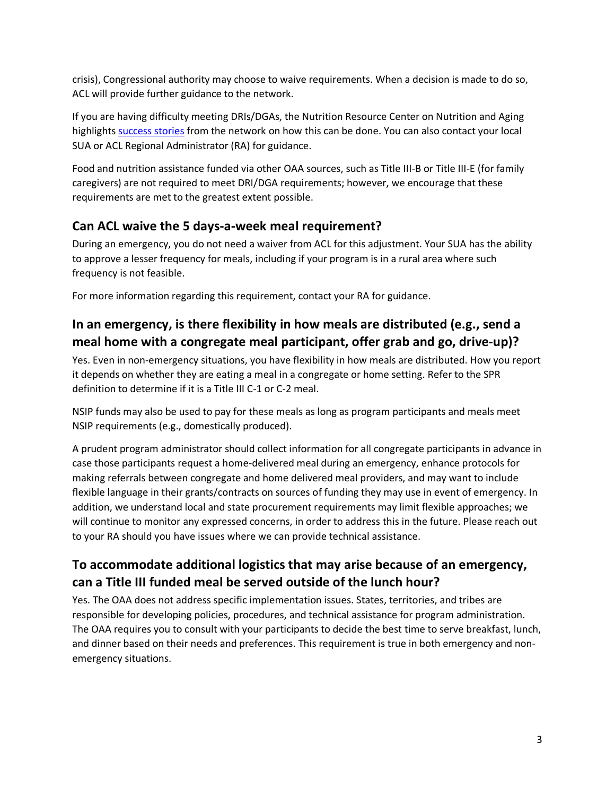crisis), Congressional authority may choose to waive requirements. When a decision is made to do so, ACL will provide further guidance to the network.

If you are having difficulty meeting DRIs/DGAs, the Nutrition Resource Center on Nutrition and Aging highlight[s success stories](https://acl.gov/senior-nutrition/success-stories) from the network on how this can be done. You can also contact your local SUA or ACL Regional Administrator (RA) for guidance.

Food and nutrition assistance funded via other OAA sources, such as Title III-B or Title III-E (for family caregivers) are not required to meet DRI/DGA requirements; however, we encourage that these requirements are met to the greatest extent possible.

#### **Can ACL waive the 5 days-a-week meal requirement?**

During an emergency, you do not need a waiver from ACL for this adjustment. Your SUA has the ability to approve a lesser frequency for meals, including if your program is in a rural area where such frequency is not feasible.

For more information regarding this requirement, contact your RA for guidance.

#### **In an emergency, is there flexibility in how meals are distributed (e.g., send a meal home with a congregate meal participant, offer grab and go, drive-up)?**

Yes. Even in non-emergency situations, you have flexibility in how meals are distributed. How you report it depends on whether they are eating a meal in a congregate or home setting. Refer to the SPR definition to determine if it is a Title III C-1 or C-2 meal.

NSIP funds may also be used to pay for these meals as long as program participants and meals meet NSIP requirements (e.g., domestically produced).

A prudent program administrator should collect information for all congregate participants in advance in case those participants request a home-delivered meal during an emergency, enhance protocols for making referrals between congregate and home delivered meal providers, and may want to include flexible language in their grants/contracts on sources of funding they may use in event of emergency. In addition, we understand local and state procurement requirements may limit flexible approaches; we will continue to monitor any expressed concerns, in order to address this in the future. Please reach out to your RA should you have issues where we can provide technical assistance.

#### **To accommodate additional logistics that may arise because of an emergency, can a Title III funded meal be served outside of the lunch hour?**

Yes. The OAA does not address specific implementation issues. States, territories, and tribes are responsible for developing policies, procedures, and technical assistance for program administration. The OAA requires you to consult with your participants to decide the best time to serve breakfast, lunch, and dinner based on their needs and preferences. This requirement is true in both emergency and nonemergency situations.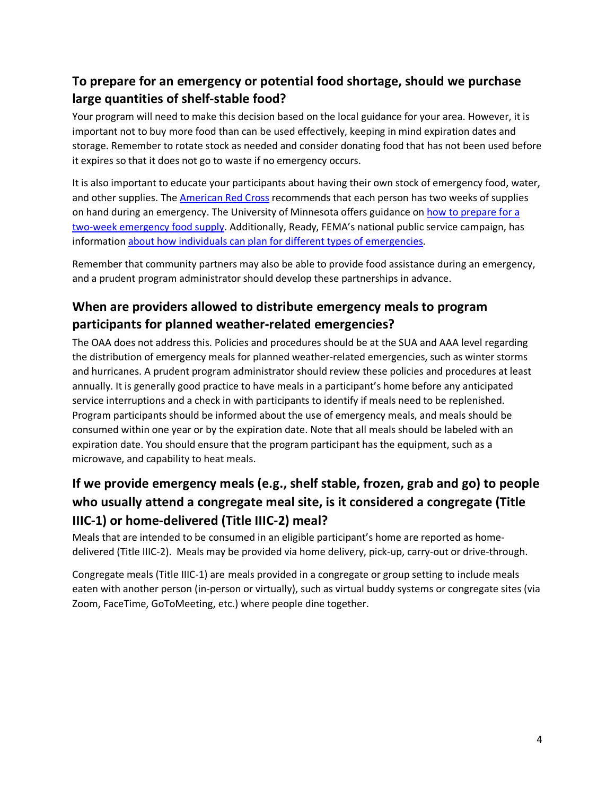### **To prepare for an emergency or potential food shortage, should we purchase large quantities of shelf-stable food?**

Your program will need to make this decision based on the local guidance for your area. However, it is important not to buy more food than can be used effectively, keeping in mind expiration dates and storage. Remember to rotate stock as needed and consider donating food that has not been used before it expires so that it does not go to waste if no emergency occurs.

It is also important to educate your participants about having their own stock of emergency food, water, and other supplies. The [American Red Cross](https://www.redcross.org/) recommends that each person has two weeks of supplies on hand during an emergency. The University of Minnesota offers guidance on [how to prepare for a](https://extension.umn.edu/how-prepare/preparing-2-week-emergency-food-supply)  [two-week emergency food supply.](https://extension.umn.edu/how-prepare/preparing-2-week-emergency-food-supply) Additionally, Ready, FEMA's national public service campaign, has informatio[n about how individuals can plan for different types of emergencies.](https://www.ready.gov/)

Remember that community partners may also be able to provide food assistance during an emergency, and a prudent program administrator should develop these partnerships in advance.

### **When are providers allowed to distribute emergency meals to program participants for planned weather-related emergencies?**

The OAA does not address this. Policies and procedures should be at the SUA and AAA level regarding the distribution of emergency meals for planned weather-related emergencies, such as winter storms and hurricanes. A prudent program administrator should review these policies and procedures at least annually. It is generally good practice to have meals in a participant's home before any anticipated service interruptions and a check in with participants to identify if meals need to be replenished. Program participants should be informed about the use of emergency meals, and meals should be consumed within one year or by the expiration date. Note that all meals should be labeled with an expiration date. You should ensure that the program participant has the equipment, such as a microwave, and capability to heat meals.

# **If we provide emergency meals (e.g., shelf stable, frozen, grab and go) to people who usually attend a congregate meal site, is it considered a congregate (Title IIIC-1) or home-delivered (Title IIIC-2) meal?**

Meals that are intended to be consumed in an eligible participant's home are reported as homedelivered (Title IIIC-2). Meals may be provided via home delivery, pick-up, carry-out or drive-through.

Congregate meals (Title IIIC-1) are meals provided in a congregate or group setting to include meals eaten with another person (in-person or virtually), such as virtual buddy systems or congregate sites (via Zoom, FaceTime, GoToMeeting, etc.) where people dine together.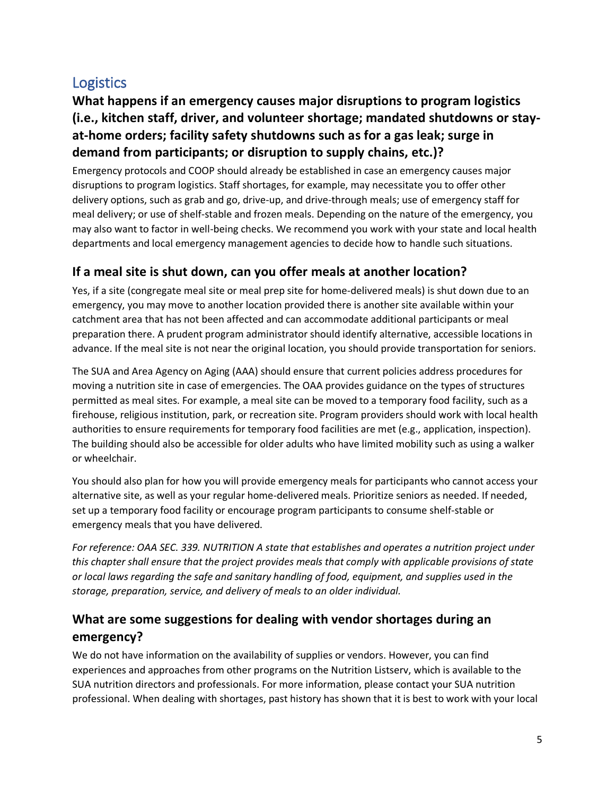# <span id="page-4-0"></span>**Logistics**

## **What happens if an emergency causes major disruptions to program logistics (i.e., kitchen staff, driver, and volunteer shortage; mandated shutdowns or stayat-home orders; facility safety shutdowns such as for a gas leak; surge in demand from participants; or disruption to supply chains, etc.)?**

Emergency protocols and COOP should already be established in case an emergency causes major disruptions to program logistics. Staff shortages, for example, may necessitate you to offer other delivery options, such as grab and go, drive-up, and drive-through meals; use of emergency staff for meal delivery; or use of shelf-stable and frozen meals. Depending on the nature of the emergency, you may also want to factor in well-being checks. We recommend you work with your state and local health departments and local emergency management agencies to decide how to handle such situations.

#### **If a meal site is shut down, can you offer meals at another location?**

Yes, if a site (congregate meal site or meal prep site for home-delivered meals) is shut down due to an emergency, you may move to another location provided there is another site available within your catchment area that has not been affected and can accommodate additional participants or meal preparation there. A prudent program administrator should identify alternative, accessible locations in advance. If the meal site is not near the original location, you should provide transportation for seniors.

The SUA and Area Agency on Aging (AAA) should ensure that current policies address procedures for moving a nutrition site in case of emergencies. The OAA provides guidance on the types of structures permitted as meal sites. For example, a meal site can be moved to a temporary food facility, such as a firehouse, religious institution, park, or recreation site. Program providers should work with local health authorities to ensure requirements for temporary food facilities are met (e.g., application, inspection). The building should also be accessible for older adults who have limited mobility such as using a walker or wheelchair.

You should also plan for how you will provide emergency meals for participants who cannot access your alternative site, as well as your regular home-delivered meals. Prioritize seniors as needed. If needed, set up a temporary food facility or encourage program participants to consume shelf-stable or emergency meals that you have delivered.

*For reference: OAA SEC. 339. NUTRITION A state that establishes and operates a nutrition project under this chapter shall ensure that the project provides meals that comply with applicable provisions of state or local laws regarding the safe and sanitary handling of food, equipment, and supplies used in the storage, preparation, service, and delivery of meals to an older individual.*

#### **What are some suggestions for dealing with vendor shortages during an emergency?**

We do not have information on the availability of supplies or vendors. However, you can find experiences and approaches from other programs on the Nutrition Listserv, which is available to the SUA nutrition directors and professionals. For more information, please contact your SUA nutrition professional. When dealing with shortages, past history has shown that it is best to work with your local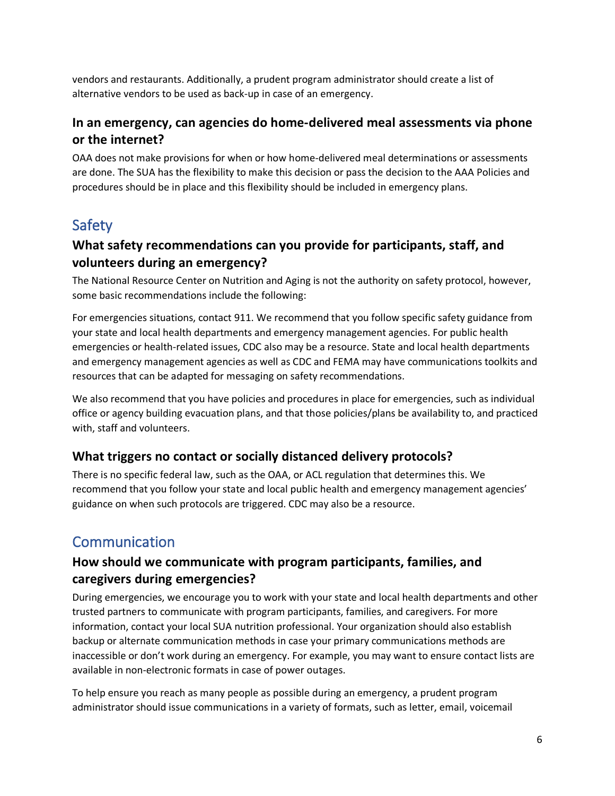vendors and restaurants. Additionally, a prudent program administrator should create a list of alternative vendors to be used as back-up in case of an emergency.

#### **In an emergency, can agencies do home-delivered meal assessments via phone or the internet?**

OAA does not make provisions for when or how home-delivered meal determinations or assessments are done. The SUA has the flexibility to make this decision or pass the decision to the AAA Policies and procedures should be in place and this flexibility should be included in emergency plans.

# <span id="page-5-0"></span>Safety

### **What safety recommendations can you provide for participants, staff, and volunteers during an emergency?**

The National Resource Center on Nutrition and Aging is not the authority on safety protocol, however, some basic recommendations include the following:

For emergencies situations, contact 911. We recommend that you follow specific safety guidance from your state and local health departments and emergency management agencies. For public health emergencies or health-related issues, CDC also may be a resource. State and local health departments and emergency management agencies as well as CDC and FEMA may have communications toolkits and resources that can be adapted for messaging on safety recommendations.

We also recommend that you have policies and procedures in place for emergencies, such as individual office or agency building evacuation plans, and that those policies/plans be availability to, and practiced with, staff and volunteers.

#### **What triggers no contact or socially distanced delivery protocols?**

There is no specific federal law, such as the OAA, or ACL regulation that determines this. We recommend that you follow your state and local public health and emergency management agencies' guidance on when such protocols are triggered. CDC may also be a resource.

# <span id="page-5-1"></span>**Communication**

#### **How should we communicate with program participants, families, and caregivers during emergencies?**

During emergencies, we encourage you to work with your state and local health departments and other trusted partners to communicate with program participants, families, and caregivers. For more information, contact your local SUA nutrition professional. Your organization should also establish backup or alternate communication methods in case your primary communications methods are inaccessible or don't work during an emergency. For example, you may want to ensure contact lists are available in non-electronic formats in case of power outages.

To help ensure you reach as many people as possible during an emergency, a prudent program administrator should issue communications in a variety of formats, such as letter, email, voicemail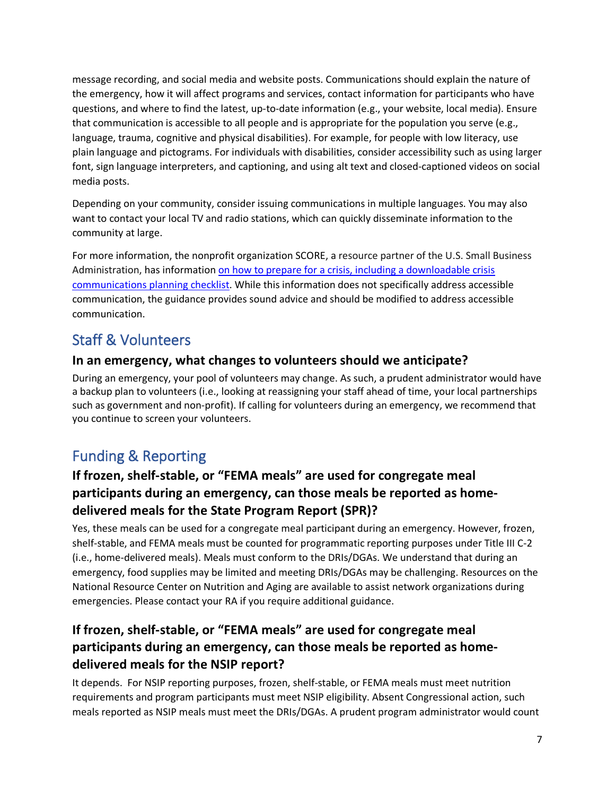message recording, and social media and website posts. Communications should explain the nature of the emergency, how it will affect programs and services, contact information for participants who have questions, and where to find the latest, up-to-date information (e.g., your website, local media). Ensure that communication is accessible to all people and is appropriate for the population you serve (e.g., language, trauma, cognitive and physical disabilities). For example, for people with low literacy, use plain language and pictograms. For individuals with disabilities, consider accessibility such as using larger font, sign language interpreters, and captioning, and using alt text and closed-captioned videos on social media posts.

Depending on your community, consider issuing communications in multiple languages. You may also want to contact your local TV and radio stations, which can quickly disseminate information to the community at large.

For more information, the nonprofit organization SCORE, a resource partner of the U.S. Small Business Administration, has informatio[n on how to prepare for a crisis, including a downloadable crisis](https://www.score.org/resource/crisis-communications-planning-checklist)  [communications planning checklist.](https://www.score.org/resource/crisis-communications-planning-checklist) While this information does not specifically address accessible communication, the guidance provides sound advice and should be modified to address accessible communication.

# <span id="page-6-0"></span>Staff & Volunteers

#### **In an emergency, what changes to volunteers should we anticipate?**

During an emergency, your pool of volunteers may change. As such, a prudent administrator would have a backup plan to volunteers (i.e., looking at reassigning your staff ahead of time, your local partnerships such as government and non-profit). If calling for volunteers during an emergency, we recommend that you continue to screen your volunteers.

# <span id="page-6-1"></span>Funding & Reporting

## **If frozen, shelf-stable, or "FEMA meals" are used for congregate meal participants during an emergency, can those meals be reported as homedelivered meals for the State Program Report (SPR)?**

Yes, these meals can be used for a congregate meal participant during an emergency. However, frozen, shelf-stable, and FEMA meals must be counted for programmatic reporting purposes under Title III C-2 (i.e., home-delivered meals). Meals must conform to the DRIs/DGAs. We understand that during an emergency, food supplies may be limited and meeting DRIs/DGAs may be challenging. Resources on the National Resource Center on Nutrition and Aging are available to assist network organizations during emergencies. Please contact your RA if you require additional guidance.

## **If frozen, shelf-stable, or "FEMA meals" are used for congregate meal participants during an emergency, can those meals be reported as homedelivered meals for the NSIP report?**

It depends. For NSIP reporting purposes, frozen, shelf-stable, or FEMA meals must meet nutrition requirements and program participants must meet NSIP eligibility. Absent Congressional action, such meals reported as NSIP meals must meet the DRIs/DGAs. A prudent program administrator would count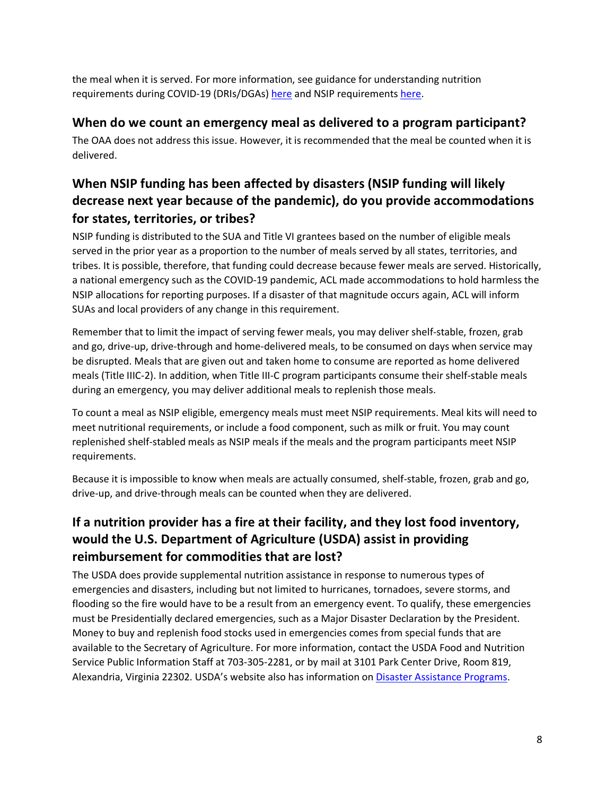the meal when it is served. For more information, see guidance for understanding nutrition requirements during COVID-19 (DRIs/DGAs) [here](https://acl.gov/sites/default/files/2021-06/Understanding%20Nutrition%20Requirements%20During%20COVID-19_FINAL.docx) and NSIP requirements [here.](https://acl.gov/sites/default/files/AoA%20--%20Nutrition%20NSIP.docx)

#### **When do we count an emergency meal as delivered to a program participant?**

The OAA does not address this issue. However, it is recommended that the meal be counted when it is delivered.

## **When NSIP funding has been affected by disasters (NSIP funding will likely decrease next year because of the pandemic), do you provide accommodations for states, territories, or tribes?**

NSIP funding is distributed to the SUA and Title VI grantees based on the number of eligible meals served in the prior year as a proportion to the number of meals served by all states, territories, and tribes. It is possible, therefore, that funding could decrease because fewer meals are served. Historically, a national emergency such as the COVID-19 pandemic, ACL made accommodations to hold harmless the NSIP allocations for reporting purposes. If a disaster of that magnitude occurs again, ACL will inform SUAs and local providers of any change in this requirement.

Remember that to limit the impact of serving fewer meals, you may deliver shelf-stable, frozen, grab and go, drive-up, drive-through and home-delivered meals, to be consumed on days when service may be disrupted. Meals that are given out and taken home to consume are reported as home delivered meals (Title IIIC-2). In addition, when Title III-C program participants consume their shelf-stable meals during an emergency, you may deliver additional meals to replenish those meals.

To count a meal as NSIP eligible, emergency meals must meet NSIP requirements. Meal kits will need to meet nutritional requirements, or include a food component, such as milk or fruit. You may count replenished shelf-stabled meals as NSIP meals if the meals and the program participants meet NSIP requirements.

Because it is impossible to know when meals are actually consumed, shelf-stable, frozen, grab and go, drive-up, and drive-through meals can be counted when they are delivered.

### **If a nutrition provider has a fire at their facility, and they lost food inventory, would the U.S. Department of Agriculture (USDA) assist in providing reimbursement for commodities that are lost?**

The USDA does provide supplemental nutrition assistance in response to numerous types of emergencies and disasters, including but not limited to hurricanes, tornadoes, severe storms, and flooding so the fire would have to be a result from an emergency event. To qualify, these emergencies must be Presidentially declared emergencies, such as a Major Disaster Declaration by the President. Money to buy and replenish food stocks used in emergencies comes from special funds that are available to the Secretary of Agriculture. For more information, contact the USDA Food and Nutrition Service Public Information Staff at 703-305-2281, or by mail at 3101 Park Center Drive, Room 819, Alexandria, Virginia 22302. USDA's website also has information o[n Disaster Assistance Programs.](https://www.fsa.usda.gov/programs-and-services/disaster-assistance-program/index#:%7E:text=Disaster%20Assistance%20Programs%20USDA%20offers%20a%20variety%20of,further%20assist%20you%2C%20visit%20USDA%E2%80%99s%20Storm%20Disaster%20Page.)